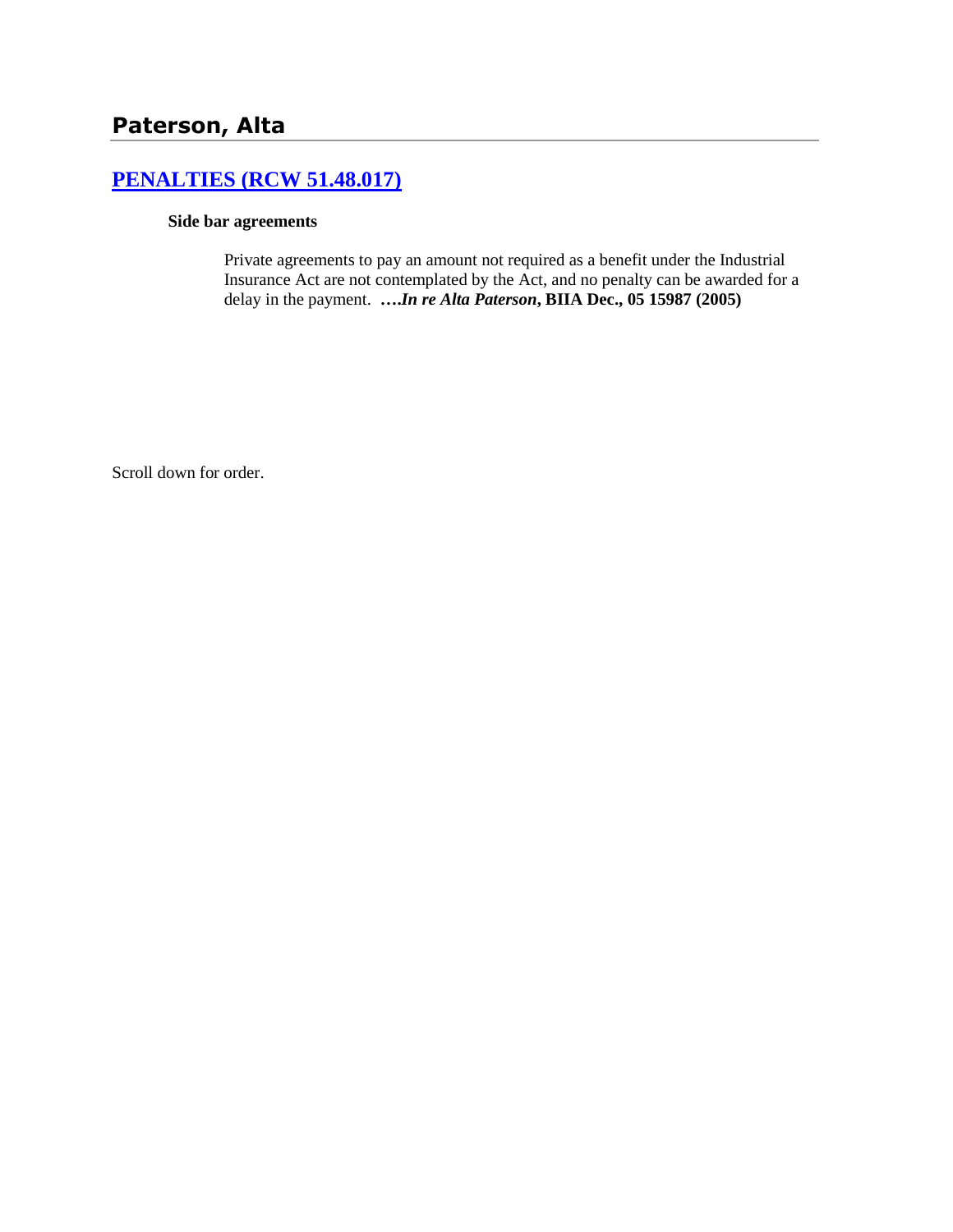# **[PENALTIES \(RCW 51.48.017\)](http://www.biia.wa.gov/SDSubjectIndex.html#PENALTIES)**

#### **Side bar agreements**

Private agreements to pay an amount not required as a benefit under the Industrial Insurance Act are not contemplated by the Act, and no penalty can be awarded for a delay in the payment. **….***In re Alta Paterson***, BIIA Dec., 05 15987 (2005)**

Scroll down for order.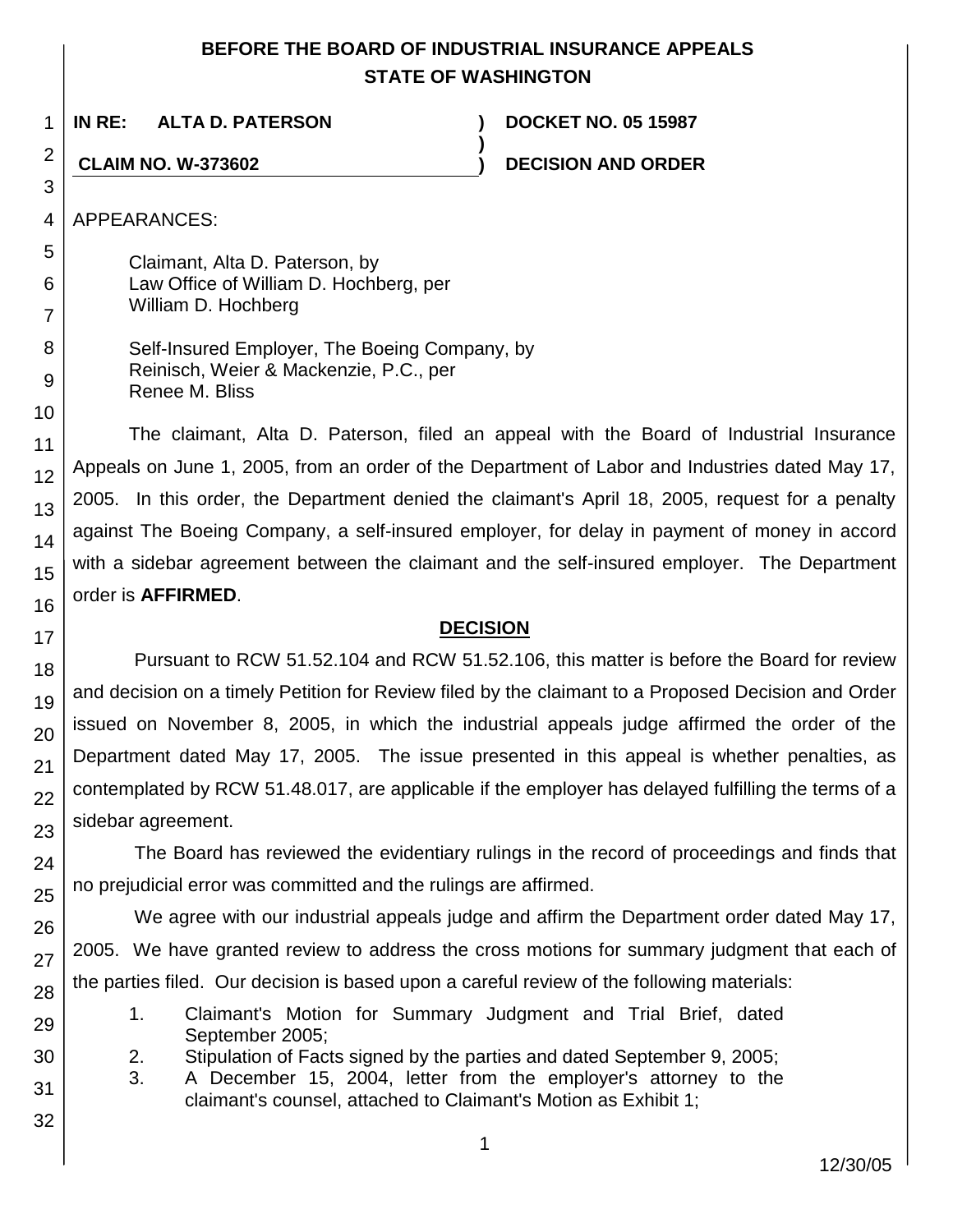# **BEFORE THE BOARD OF INDUSTRIAL INSURANCE APPEALS STATE OF WASHINGTON**

**)**

1 **IN RE: ALTA D. PATERSON ) DOCKET NO. 05 15987**

**CLAIM NO. W-373602 ) DECISION AND ORDER**

APPEARANCES:

Claimant, Alta D. Paterson, by Law Office of William D. Hochberg, per William D. Hochberg

| Self-Insured Employer, The Boeing Company, by |
|-----------------------------------------------|
| Reinisch, Weier & Mackenzie, P.C., per        |
| Renee M. Bliss                                |

The claimant, Alta D. Paterson, filed an appeal with the Board of Industrial Insurance Appeals on June 1, 2005, from an order of the Department of Labor and Industries dated May 17, 2005. In this order, the Department denied the claimant's April 18, 2005, request for a penalty against The Boeing Company, a self-insured employer, for delay in payment of money in accord with a sidebar agreement between the claimant and the self-insured employer. The Department order is **AFFIRMED**.

# **DECISION**

Pursuant to RCW 51.52.104 and RCW 51.52.106, this matter is before the Board for review and decision on a timely Petition for Review filed by the claimant to a Proposed Decision and Order issued on November 8, 2005, in which the industrial appeals judge affirmed the order of the Department dated May 17, 2005. The issue presented in this appeal is whether penalties, as contemplated by RCW 51.48.017, are applicable if the employer has delayed fulfilling the terms of a sidebar agreement.

The Board has reviewed the evidentiary rulings in the record of proceedings and finds that no prejudicial error was committed and the rulings are affirmed.

We agree with our industrial appeals judge and affirm the Department order dated May 17, 2005. We have granted review to address the cross motions for summary judgment that each of the parties filed. Our decision is based upon a careful review of the following materials:

- 1. Claimant's Motion for Summary Judgment and Trial Brief, dated September 2005;
- 2. Stipulation of Facts signed by the parties and dated September 9, 2005;
- 3. A December 15, 2004, letter from the employer's attorney to the claimant's counsel, attached to Claimant's Motion as Exhibit 1;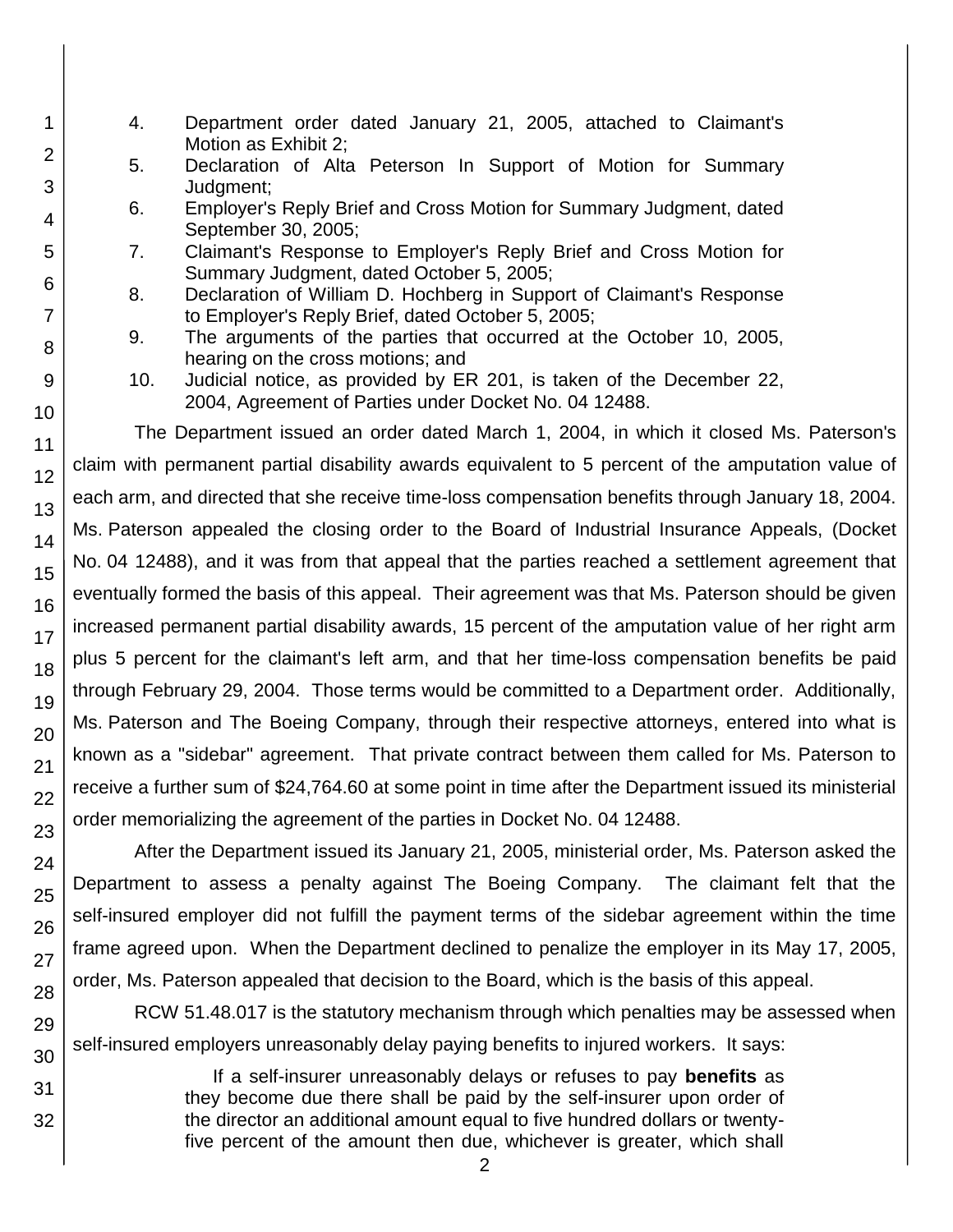- 1 2 3 4 5 6 7 8 9 10 11 12 13 14 15 16 17 18 19 20 21 22 23 24 25 26 27 28 29 30 31 32
- 4. Department order dated January 21, 2005, attached to Claimant's Motion as Exhibit 2;
	- 5. Declaration of Alta Peterson In Support of Motion for Summary Judgment;
	- 6. Employer's Reply Brief and Cross Motion for Summary Judgment, dated September 30, 2005;
	- 7. Claimant's Response to Employer's Reply Brief and Cross Motion for Summary Judgment, dated October 5, 2005;
	- 8. Declaration of William D. Hochberg in Support of Claimant's Response to Employer's Reply Brief, dated October 5, 2005;
	- 9. The arguments of the parties that occurred at the October 10, 2005, hearing on the cross motions; and
	- 10. Judicial notice, as provided by ER 201, is taken of the December 22, 2004, Agreement of Parties under Docket No. 04 12488.

The Department issued an order dated March 1, 2004, in which it closed Ms. Paterson's claim with permanent partial disability awards equivalent to 5 percent of the amputation value of each arm, and directed that she receive time-loss compensation benefits through January 18, 2004. Ms. Paterson appealed the closing order to the Board of Industrial Insurance Appeals, (Docket No. 04 12488), and it was from that appeal that the parties reached a settlement agreement that eventually formed the basis of this appeal. Their agreement was that Ms. Paterson should be given increased permanent partial disability awards, 15 percent of the amputation value of her right arm plus 5 percent for the claimant's left arm, and that her time-loss compensation benefits be paid through February 29, 2004. Those terms would be committed to a Department order. Additionally, Ms. Paterson and The Boeing Company, through their respective attorneys, entered into what is known as a "sidebar" agreement. That private contract between them called for Ms. Paterson to receive a further sum of \$24,764.60 at some point in time after the Department issued its ministerial order memorializing the agreement of the parties in Docket No. 04 12488.

After the Department issued its January 21, 2005, ministerial order, Ms. Paterson asked the Department to assess a penalty against The Boeing Company. The claimant felt that the self-insured employer did not fulfill the payment terms of the sidebar agreement within the time frame agreed upon. When the Department declined to penalize the employer in its May 17, 2005, order, Ms. Paterson appealed that decision to the Board, which is the basis of this appeal.

RCW 51.48.017 is the statutory mechanism through which penalties may be assessed when self-insured employers unreasonably delay paying benefits to injured workers. It says:

> If a self-insurer unreasonably delays or refuses to pay **benefits** as they become due there shall be paid by the self-insurer upon order of the director an additional amount equal to five hundred dollars or twentyfive percent of the amount then due, whichever is greater, which shall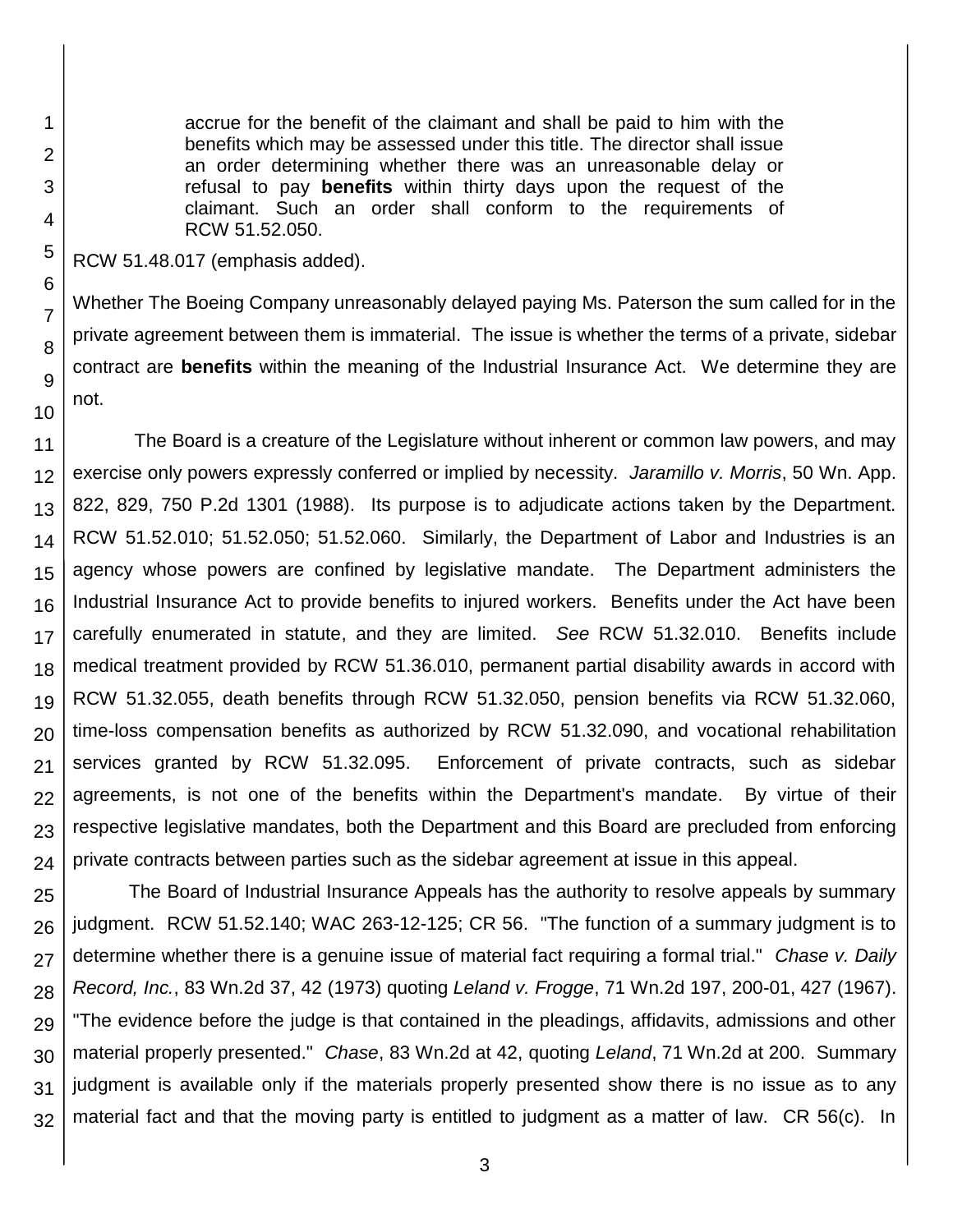accrue for the benefit of the claimant and shall be paid to him with the benefits which may be assessed under this title. The director shall issue an order determining whether there was an unreasonable delay or refusal to pay **benefits** within thirty days upon the request of the claimant. Such an order shall conform to the requirements of RCW 51.52.050.

RCW 51.48.017 (emphasis added).

Whether The Boeing Company unreasonably delayed paying Ms. Paterson the sum called for in the private agreement between them is immaterial. The issue is whether the terms of a private, sidebar contract are **benefits** within the meaning of the Industrial Insurance Act. We determine they are not.

The Board is a creature of the Legislature without inherent or common law powers, and may exercise only powers expressly conferred or implied by necessity. *Jaramillo v. Morris*, 50 Wn. App. 822, 829, 750 P.2d 1301 (1988). Its purpose is to adjudicate actions taken by the Department. RCW 51.52.010; 51.52.050; 51.52.060. Similarly, the Department of Labor and Industries is an agency whose powers are confined by legislative mandate. The Department administers the Industrial Insurance Act to provide benefits to injured workers. Benefits under the Act have been carefully enumerated in statute, and they are limited. *See* RCW 51.32.010. Benefits include medical treatment provided by RCW 51.36.010, permanent partial disability awards in accord with RCW 51.32.055, death benefits through RCW 51.32.050, pension benefits via RCW 51.32.060, time-loss compensation benefits as authorized by RCW 51.32.090, and vocational rehabilitation services granted by RCW 51.32.095. Enforcement of private contracts, such as sidebar agreements, is not one of the benefits within the Department's mandate. By virtue of their respective legislative mandates, both the Department and this Board are precluded from enforcing private contracts between parties such as the sidebar agreement at issue in this appeal.

25 26 27 28 29 30 31 32 The Board of Industrial Insurance Appeals has the authority to resolve appeals by summary judgment. RCW 51.52.140; WAC 263-12-125; CR 56. "The function of a summary judgment is to determine whether there is a genuine issue of material fact requiring a formal trial." *Chase v. Daily Record, Inc.*, 83 Wn.2d 37, 42 (1973) quoting *Leland v. Frogge*, 71 Wn.2d 197, 200-01, 427 (1967). "The evidence before the judge is that contained in the pleadings, affidavits, admissions and other material properly presented." *Chase*, 83 Wn.2d at 42, quoting *Leland*, 71 Wn.2d at 200. Summary judgment is available only if the materials properly presented show there is no issue as to any material fact and that the moving party is entitled to judgment as a matter of law. CR 56(c). In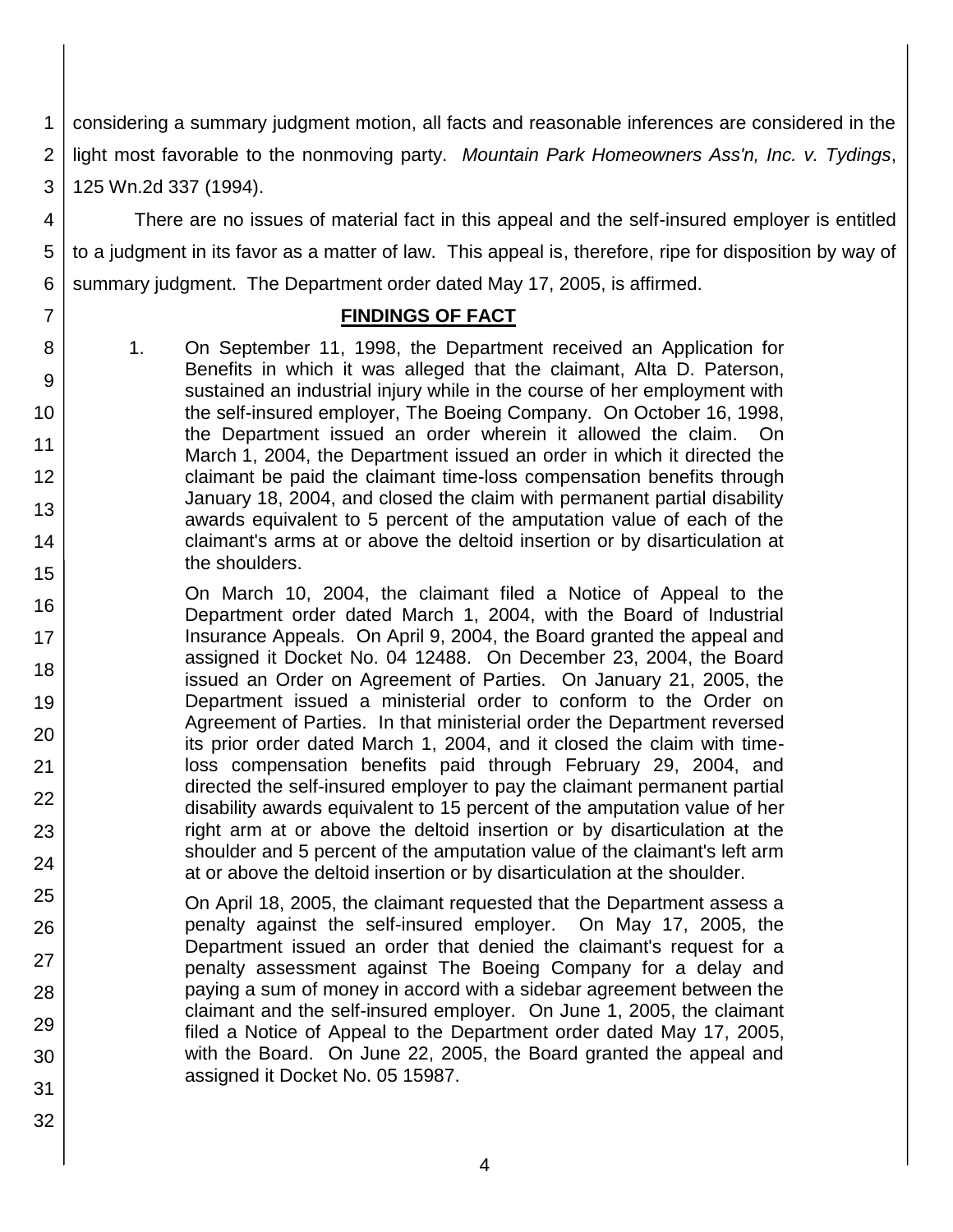1 2 3 considering a summary judgment motion, all facts and reasonable inferences are considered in the light most favorable to the nonmoving party. *Mountain Park Homeowners Ass'n, Inc. v. Tydings*, 125 Wn.2d 337 (1994).

4 5 6 There are no issues of material fact in this appeal and the self-insured employer is entitled to a judgment in its favor as a matter of law. This appeal is, therefore, ripe for disposition by way of summary judgment. The Department order dated May 17, 2005, is affirmed.

### **FINDINGS OF FACT**

1. On September 11, 1998, the Department received an Application for Benefits in which it was alleged that the claimant, Alta D. Paterson, sustained an industrial injury while in the course of her employment with the self-insured employer, The Boeing Company. On October 16, 1998, the Department issued an order wherein it allowed the claim. On March 1, 2004, the Department issued an order in which it directed the claimant be paid the claimant time-loss compensation benefits through January 18, 2004, and closed the claim with permanent partial disability awards equivalent to 5 percent of the amputation value of each of the claimant's arms at or above the deltoid insertion or by disarticulation at the shoulders.

On March 10, 2004, the claimant filed a Notice of Appeal to the Department order dated March 1, 2004, with the Board of Industrial Insurance Appeals. On April 9, 2004, the Board granted the appeal and assigned it Docket No. 04 12488. On December 23, 2004, the Board issued an Order on Agreement of Parties. On January 21, 2005, the Department issued a ministerial order to conform to the Order on Agreement of Parties. In that ministerial order the Department reversed its prior order dated March 1, 2004, and it closed the claim with timeloss compensation benefits paid through February 29, 2004, and directed the self-insured employer to pay the claimant permanent partial disability awards equivalent to 15 percent of the amputation value of her right arm at or above the deltoid insertion or by disarticulation at the shoulder and 5 percent of the amputation value of the claimant's left arm at or above the deltoid insertion or by disarticulation at the shoulder.

On April 18, 2005, the claimant requested that the Department assess a penalty against the self-insured employer. On May 17, 2005, the Department issued an order that denied the claimant's request for a penalty assessment against The Boeing Company for a delay and paying a sum of money in accord with a sidebar agreement between the claimant and the self-insured employer. On June 1, 2005, the claimant filed a Notice of Appeal to the Department order dated May 17, 2005, with the Board. On June 22, 2005, the Board granted the appeal and assigned it Docket No. 05 15987.

31 32

7

8

9

10

11

12

13

14

15

16

17

18

19

20

21

22

23

24

25

26

27

28

29